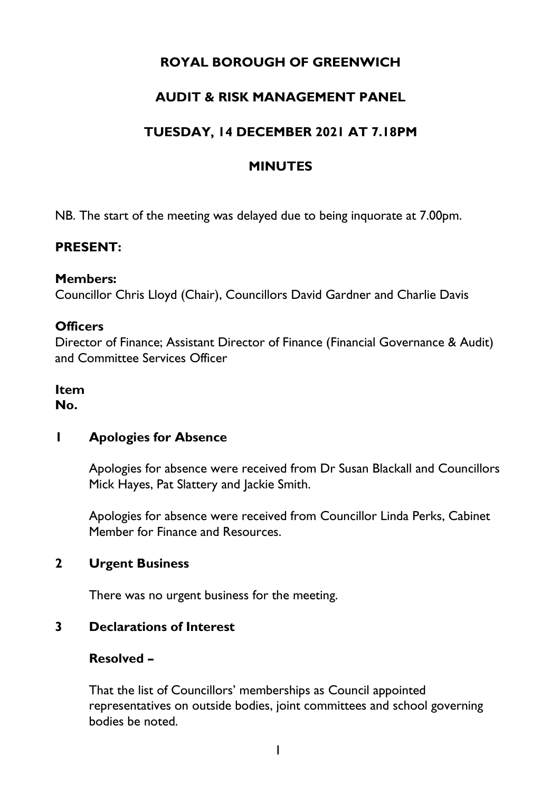# **ROYAL BOROUGH OF GREENWICH**

# **AUDIT & RISK MANAGEMENT PANEL**

# **TUESDAY, 14 DECEMBER 2021 AT 7.18PM**

## **MINUTES**

NB. The start of the meeting was delayed due to being inquorate at 7.00pm.

### **PRESENT:**

#### **Members:**

Councillor Chris Lloyd (Chair), Councillors David Gardner and Charlie Davis

#### **Officers**

Director of Finance; Assistant Director of Finance (Financial Governance & Audit) and Committee Services Officer

#### **Item**

**No.** 

#### **1 Apologies for Absence**

Apologies for absence were received from Dr Susan Blackall and Councillors Mick Hayes, Pat Slattery and Jackie Smith.

Apologies for absence were received from Councillor Linda Perks, Cabinet Member for Finance and Resources.

#### **2 Urgent Business**

There was no urgent business for the meeting.

### **3 Declarations of Interest**

#### **Resolved –**

That the list of Councillors' memberships as Council appointed representatives on outside bodies, joint committees and school governing bodies be noted.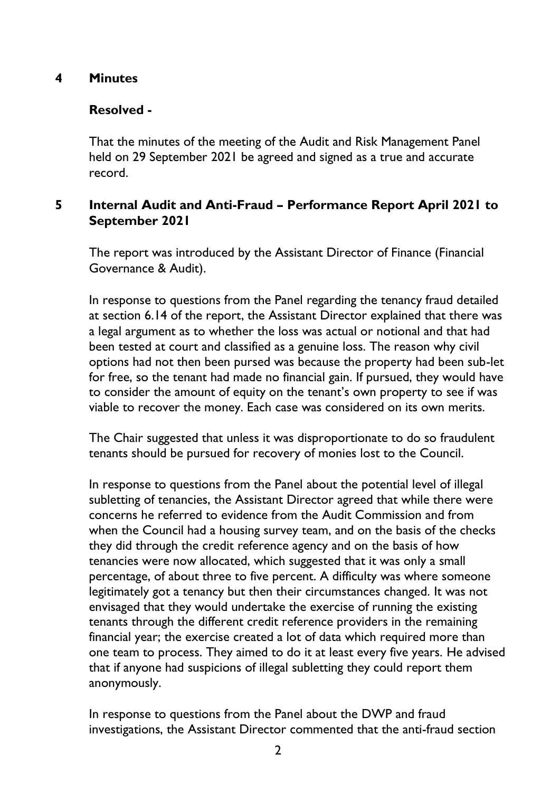### **4 Minutes**

### **Resolved -**

That the minutes of the meeting of the Audit and Risk Management Panel held on 29 September 2021 be agreed and signed as a true and accurate record.

### **5 Internal Audit and Anti-Fraud – Performance Report April 2021 to September 2021**

The report was introduced by the Assistant Director of Finance (Financial Governance & Audit).

In response to questions from the Panel regarding the tenancy fraud detailed at section 6.14 of the report, the Assistant Director explained that there was a legal argument as to whether the loss was actual or notional and that had been tested at court and classified as a genuine loss. The reason why civil options had not then been pursed was because the property had been sub-let for free, so the tenant had made no financial gain. If pursued, they would have to consider the amount of equity on the tenant's own property to see if was viable to recover the money. Each case was considered on its own merits.

The Chair suggested that unless it was disproportionate to do so fraudulent tenants should be pursued for recovery of monies lost to the Council.

In response to questions from the Panel about the potential level of illegal subletting of tenancies, the Assistant Director agreed that while there were concerns he referred to evidence from the Audit Commission and from when the Council had a housing survey team, and on the basis of the checks they did through the credit reference agency and on the basis of how tenancies were now allocated, which suggested that it was only a small percentage, of about three to five percent. A difficulty was where someone legitimately got a tenancy but then their circumstances changed. It was not envisaged that they would undertake the exercise of running the existing tenants through the different credit reference providers in the remaining financial year; the exercise created a lot of data which required more than one team to process. They aimed to do it at least every five years. He advised that if anyone had suspicions of illegal subletting they could report them anonymously.

In response to questions from the Panel about the DWP and fraud investigations, the Assistant Director commented that the anti-fraud section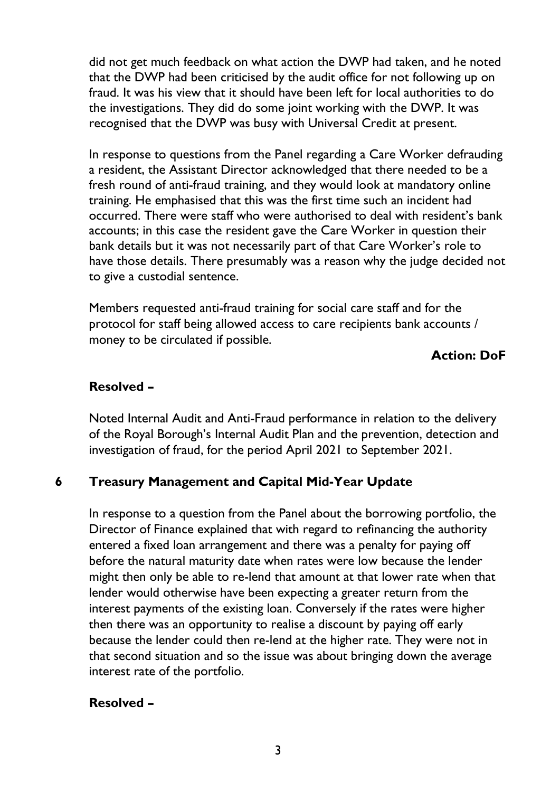did not get much feedback on what action the DWP had taken, and he noted that the DWP had been criticised by the audit office for not following up on fraud. It was his view that it should have been left for local authorities to do the investigations. They did do some joint working with the DWP. It was recognised that the DWP was busy with Universal Credit at present.

In response to questions from the Panel regarding a Care Worker defrauding a resident, the Assistant Director acknowledged that there needed to be a fresh round of anti-fraud training, and they would look at mandatory online training. He emphasised that this was the first time such an incident had occurred. There were staff who were authorised to deal with resident's bank accounts; in this case the resident gave the Care Worker in question their bank details but it was not necessarily part of that Care Worker's role to have those details. There presumably was a reason why the judge decided not to give a custodial sentence.

Members requested anti-fraud training for social care staff and for the protocol for staff being allowed access to care recipients bank accounts / money to be circulated if possible.

### **Action: DoF**

### **Resolved –**

Noted Internal Audit and Anti-Fraud performance in relation to the delivery of the Royal Borough's Internal Audit Plan and the prevention, detection and investigation of fraud, for the period April 2021 to September 2021.

### **6 Treasury Management and Capital Mid-Year Update**

In response to a question from the Panel about the borrowing portfolio, the Director of Finance explained that with regard to refinancing the authority entered a fixed loan arrangement and there was a penalty for paying off before the natural maturity date when rates were low because the lender might then only be able to re-lend that amount at that lower rate when that lender would otherwise have been expecting a greater return from the interest payments of the existing loan. Conversely if the rates were higher then there was an opportunity to realise a discount by paying off early because the lender could then re-lend at the higher rate. They were not in that second situation and so the issue was about bringing down the average interest rate of the portfolio.

### **Resolved –**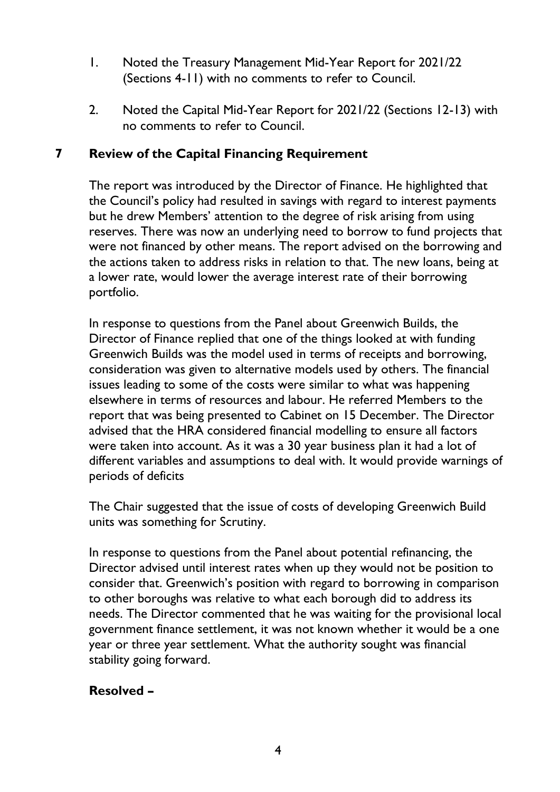- 1. Noted the Treasury Management Mid-Year Report for 2021/22 (Sections 4-11) with no comments to refer to Council.
- 2. Noted the Capital Mid-Year Report for 2021/22 (Sections 12-13) with no comments to refer to Council.

### **7 Review of the Capital Financing Requirement**

The report was introduced by the Director of Finance. He highlighted that the Council's policy had resulted in savings with regard to interest payments but he drew Members' attention to the degree of risk arising from using reserves. There was now an underlying need to borrow to fund projects that were not financed by other means. The report advised on the borrowing and the actions taken to address risks in relation to that. The new loans, being at a lower rate, would lower the average interest rate of their borrowing portfolio.

In response to questions from the Panel about Greenwich Builds, the Director of Finance replied that one of the things looked at with funding Greenwich Builds was the model used in terms of receipts and borrowing, consideration was given to alternative models used by others. The financial issues leading to some of the costs were similar to what was happening elsewhere in terms of resources and labour. He referred Members to the report that was being presented to Cabinet on 15 December. The Director advised that the HRA considered financial modelling to ensure all factors were taken into account. As it was a 30 year business plan it had a lot of different variables and assumptions to deal with. It would provide warnings of periods of deficits

The Chair suggested that the issue of costs of developing Greenwich Build units was something for Scrutiny.

In response to questions from the Panel about potential refinancing, the Director advised until interest rates when up they would not be position to consider that. Greenwich's position with regard to borrowing in comparison to other boroughs was relative to what each borough did to address its needs. The Director commented that he was waiting for the provisional local government finance settlement, it was not known whether it would be a one year or three year settlement. What the authority sought was financial stability going forward.

### **Resolved –**